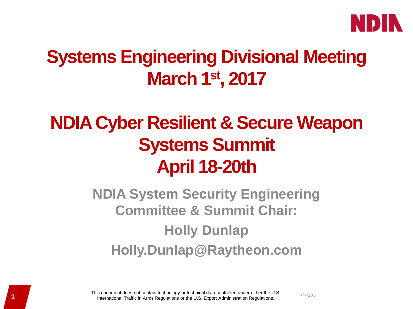

# **Systems Engineering Divisional Meeting March 1st, 2017**

# **NDIA Cyber Resilient & Secure Weapon Systems Summit April 18-20th**

**NDIA System Security Engineering Committee & Summit Chair: Holly Dunlap Holly.Dunlap@Raytheon.com** 

1<br>3/7/2017 **11 International Traffic in Arms Regulations or the U.S. Export Administration Regulations.** This document does not contain technology or technical data controlled under either the U.S.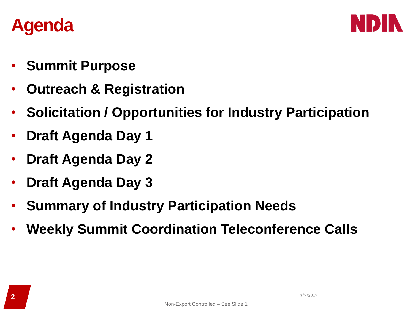



- **Summit Purpose**
- **Outreach & Registration**
- **Solicitation / Opportunities for Industry Participation**
- **Draft Agenda Day 1**
- **Draft Agenda Day 2**
- **Draft Agenda Day 3**
- **Summary of Industry Participation Needs**
- **Weekly Summit Coordination Teleconference Calls**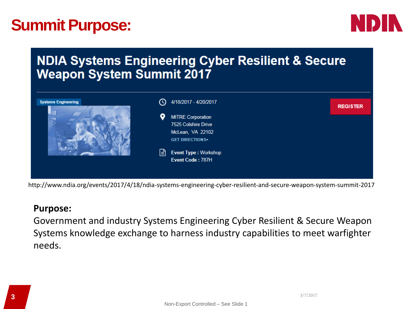# **Summit Purpose:**



# **NDIA Systems Engineering Cyber Resilient & Secure Weapon System Summit 2017**



http://www.ndia.org/events/2017/4/18/ndia-systems-engineering-cyber-resilient-and-secure-weapon-system-summit-2017

# **Purpose:**

Government and industry Systems Engineering Cyber Resilient & Secure Weapon Systems knowledge exchange to harness industry capabilities to meet warfighter needs.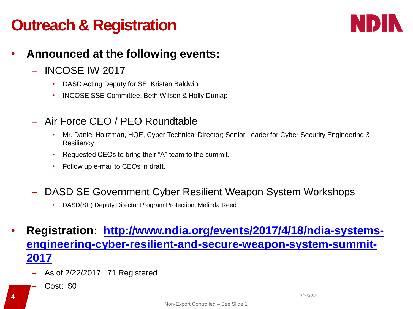# **Outreach & Registration**



# • **Announced at the following events:**

- INCOSE IW 2017
	- DASD Acting Deputy for SE, Kristen Baldwin
	- INCOSE SSE Committee, Beth Wilson & Holly Dunlap
- Air Force CEO / PEO Roundtable
	- Mr. Daniel Holtzman, HQE, Cyber Technical Director; Senior Leader for Cyber Security Engineering & **Resiliency**
	- Requested CEOs to bring their "A" team to the summit.
	- Follow up e-mail to CEOs in draft.
- DASD SE Government Cyber Resilient Weapon System Workshops
	- DASD(SE) Deputy Director Program Protection, Melinda Reed
- **Registration: [http://www.ndia.org/events/2017/4/18/ndia-systems](http://www.ndia.org/events/2017/4/18/ndia-systems-engineering-cyber-resilient-and-secure-weapon-system-summit-2017)[engineering-cyber-resilient-and-secure-weapon-system-summit-](http://www.ndia.org/events/2017/4/18/ndia-systems-engineering-cyber-resilient-and-secure-weapon-system-summit-2017)[2017](http://www.ndia.org/events/2017/4/18/ndia-systems-engineering-cyber-resilient-and-secure-weapon-system-summit-2017)**
	- As of 2/22/2017: 71 Registered
		- Cost: \$0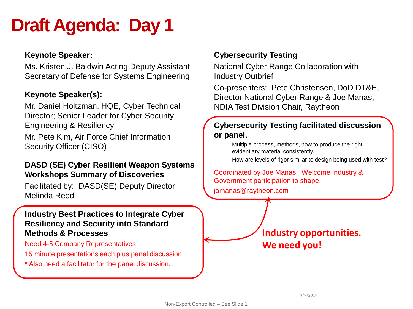# **Draft Agenda: Day 1**

### **Keynote Speaker:**

Ms. Kristen J. Baldwin Acting Deputy Assistant Secretary of Defense for Systems Engineering

### **Keynote Speaker(s):**

Mr. Daniel Holtzman, HQE, Cyber Technical Director; Senior Leader for Cyber Security Engineering & Resiliency

Mr. Pete Kim, Air Force Chief Information Security Officer (CISO)

#### **DASD (SE) Cyber Resilient Weapon Systems Workshops Summary of Discoveries**

Facilitated by: DASD(SE) Deputy Director Melinda Reed

#### **Industry Best Practices to Integrate Cyber Resiliency and Security into Standard Methods & Processes**

Need 4-5 Company Representatives

- 15 minute presentations each plus panel discussion
- \* Also need a facilitator for the panel discussion.

# **Cybersecurity Testing**

National Cyber Range Collaboration with Industry Outbrief

Co-presenters: Pete Christensen, DoD DT&E, Director National Cyber Range & Joe Manas, NDIA Test Division Chair, Raytheon

### **Cybersecurity Testing facilitated discussion or panel.**

Multiple process, methods, how to produce the right evidentiary material consistently.

How are levels of rigor similar to design being used with test?

Coordinated by Joe Manas. Welcome Industry & Government participation to shape.

jamanas@raytheon.com

**Industry opportunities. We need you!**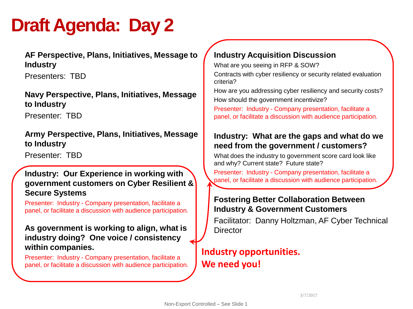# **Draft Agenda: Day 2**

**AF Perspective, Plans, Initiatives, Message to Industry** 

Presenters: TBD

### **Navy Perspective, Plans, Initiatives, Message to Industry**

Presenter: TBD

**Army Perspective, Plans, Initiatives, Message to Industry** 

Presenter: TBD

#### **Industry: Our Experience in working with government customers on Cyber Resilient & Secure Systems**

Presenter: Industry - Company presentation, facilitate a panel, or facilitate a discussion with audience participation.

### **As government is working to align, what is industry doing? One voice / consistency within companies.**

Presenter: Industry - Company presentation, facilitate a panel, or facilitate a discussion with audience participation.

# **Industry Acquisition Discussion**

What are you seeing in RFP & SOW?

Contracts with cyber resiliency or security related evaluation criteria?

How are you addressing cyber resiliency and security costs? How should the government incentivize?

Presenter: Industry - Company presentation, facilitate a panel, or facilitate a discussion with audience participation.

### **Industry: What are the gaps and what do we need from the government / customers?**

What does the industry to government score card look like and why? Current state? Future state?

Presenter: Industry - Company presentation, facilitate a panel, or facilitate a discussion with audience participation.

### **Fostering Better Collaboration Between Industry & Government Customers**

Facilitator: Danny Holtzman, AF Cyber Technical **Director** 

# **Industry opportunities. We need you!**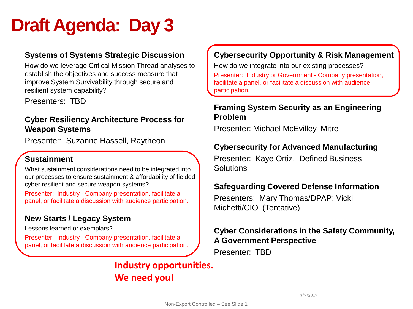# **Draft Agenda: Day 3**

### **Systems of Systems Strategic Discussion**

How do we leverage Critical Mission Thread analyses to establish the objectives and success measure that improve System Survivability through secure and resilient system capability?

Presenters: TBD

### **Cyber Resiliency Architecture Process for Weapon Systems**

Presenter: Suzanne Hassell, Raytheon

# **Sustainment**

What sustainment considerations need to be integrated into our processes to ensure sustainment & affordability of fielded cyber resilient and secure weapon systems?

Presenter: Industry - Company presentation, facilitate a panel, or facilitate a discussion with audience participation.

# **New Starts / Legacy System**

Lessons learned or exemplars?

Presenter: Industry - Company presentation, facilitate a panel, or facilitate a discussion with audience participation.

# **Industry opportunities. We need you!**

# **Cybersecurity Opportunity & Risk Management**

How do we integrate into our existing processes? Presenter: Industry or Government - Company presentation, facilitate a panel, or facilitate a discussion with audience participation.

### **Framing System Security as an Engineering Problem**

Presenter: Michael McEvilley, Mitre

# **Cybersecurity for Advanced Manufacturing**

Presenter: Kaye Ortiz, Defined Business **Solutions** 

### **Safeguarding Covered Defense Information**

Presenters: Mary Thomas/DPAP; Vicki Michetti/CIO (Tentative)

### **Cyber Considerations in the Safety Community, A Government Perspective**

Presenter: TBD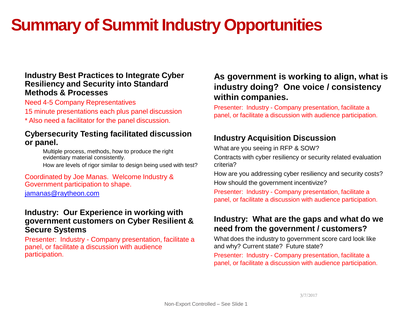# **Summary of Summit Industry Opportunities**

#### **Industry Best Practices to Integrate Cyber Resiliency and Security into Standard Methods & Processes**

Need 4-5 Company Representatives

- 15 minute presentations each plus panel discussion
- \* Also need a facilitator for the panel discussion.

#### **Cybersecurity Testing facilitated discussion or panel.**

Multiple process, methods, how to produce the right evidentiary material consistently. How are levels of rigor similar to design being used with test?

#### Coordinated by Joe Manas. Welcome Industry & Government participation to shape. [jamanas@raytheon.com](mailto:jamanas@raytheon.com)

#### **Industry: Our Experience in working with government customers on Cyber Resilient & Secure Systems**

Presenter: Industry - Company presentation, facilitate a panel, or facilitate a discussion with audience participation.

# **As government is working to align, what is industry doing? One voice / consistency within companies.**

Presenter: Industry - Company presentation, facilitate a panel, or facilitate a discussion with audience participation.

# **Industry Acquisition Discussion**

What are you seeing in RFP & SOW?

Contracts with cyber resiliency or security related evaluation criteria?

How are you addressing cyber resiliency and security costs? How should the government incentivize?

Presenter: Industry - Company presentation, facilitate a panel, or facilitate a discussion with audience participation.

### **Industry: What are the gaps and what do we need from the government / customers?**

What does the industry to government score card look like and why? Current state? Future state?

Presenter: Industry - Company presentation, facilitate a panel, or facilitate a discussion with audience participation.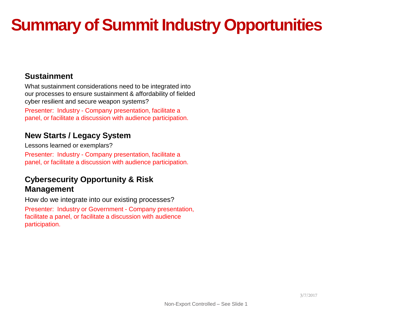# **Summary of Summit Industry Opportunities**

#### **Sustainment**

What sustainment considerations need to be integrated into our processes to ensure sustainment & affordability of fielded cyber resilient and secure weapon systems?

Presenter: Industry - Company presentation, facilitate a panel, or facilitate a discussion with audience participation.

# **New Starts / Legacy System**

Lessons learned or exemplars? Presenter: Industry - Company presentation, facilitate a panel, or facilitate a discussion with audience participation.

### **Cybersecurity Opportunity & Risk Management**

How do we integrate into our existing processes? Presenter: Industry or Government - Company presentation, facilitate a panel, or facilitate a discussion with audience participation.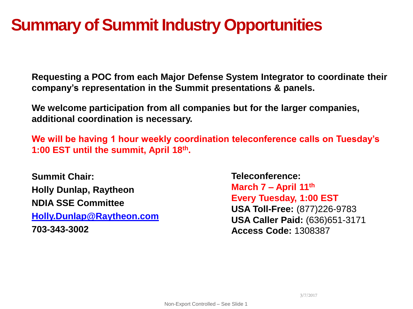# **Summary of Summit Industry Opportunities**

**Requesting a POC from each Major Defense System Integrator to coordinate their company's representation in the Summit presentations & panels.**

**We welcome participation from all companies but for the larger companies, additional coordination is necessary.** 

**We will be having 1 hour weekly coordination teleconference calls on Tuesday's 1:00 EST until the summit, April 18th.** 

**Summit Chair: Holly Dunlap, Raytheon NDIA SSE Committee [Holly.Dunlap@Raytheon.com](mailto:Holly.Dunlap@Raytheon.com) 703-343-3002**

**Teleconference: March 7 – April 11th Every Tuesday, 1:00 EST USA Toll-Free:** (877)226-9783 **USA Caller Paid:** (636)651-3171 **Access Code:** 1308387